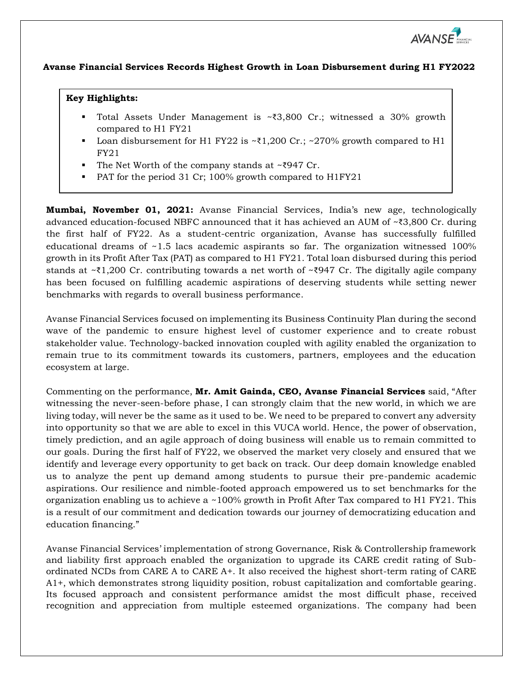

## **Avanse Financial Services Records Highest Growth in Loan Disbursement during H1 FY2022**

## **Key Highlights:**

- Total Assets Under Management is ~₹3,800 Cr.; witnessed a 30% growth compared to H1 FY21
- Loan disbursement for H1 FY22 is  $\times$ ₹1,200 Cr.;  $\times$ 270% growth compared to H1 FY21
- The Net Worth of the company stands at ~₹947 Cr.
- PAT for the period 31 Cr; 100% growth compared to H1FY21

**Mumbai, November 01, 2021:** Avanse Financial Services, India's new age, technologically advanced education-focused NBFC announced that it has achieved an AUM of ~₹3,800 Cr. during the first half of FY22. As a student-centric organization, Avanse has successfully fulfilled educational dreams of ~1.5 lacs academic aspirants so far. The organization witnessed 100% growth in its Profit After Tax (PAT) as compared to H1 FY21. Total loan disbursed during this period stands at ~₹1,200 Cr. contributing towards a net worth of ~₹947 Cr. The digitally agile company has been focused on fulfilling academic aspirations of deserving students while setting newer benchmarks with regards to overall business performance.

Avanse Financial Services focused on implementing its Business Continuity Plan during the second wave of the pandemic to ensure highest level of customer experience and to create robust stakeholder value. Technology-backed innovation coupled with agility enabled the organization to remain true to its commitment towards its customers, partners, employees and the education ecosystem at large.

Commenting on the performance, **Mr. Amit Gainda, CEO, Avanse Financial Services** said, "After witnessing the never-seen-before phase, I can strongly claim that the new world, in which we are living today, will never be the same as it used to be. We need to be prepared to convert any adversity into opportunity so that we are able to excel in this VUCA world. Hence, the power of observation, timely prediction, and an agile approach of doing business will enable us to remain committed to our goals. During the first half of FY22, we observed the market very closely and ensured that we identify and leverage every opportunity to get back on track. Our deep domain knowledge enabled us to analyze the pent up demand among students to pursue their pre-pandemic academic aspirations. Our resilience and nimble-footed approach empowered us to set benchmarks for the organization enabling us to achieve a ~100% growth in Profit After Tax compared to H1 FY21. This is a result of our commitment and dedication towards our journey of democratizing education and education financing."

Avanse Financial Services' implementation of strong Governance, Risk & Controllership framework and liability first approach enabled the organization to upgrade its CARE credit rating of Subordinated NCDs from CARE A to CARE A+. It also received the highest short-term rating of CARE A1+, which demonstrates strong liquidity position, robust capitalization and comfortable gearing. Its focused approach and consistent performance amidst the most difficult phase, received recognition and appreciation from multiple esteemed organizations. The company had been